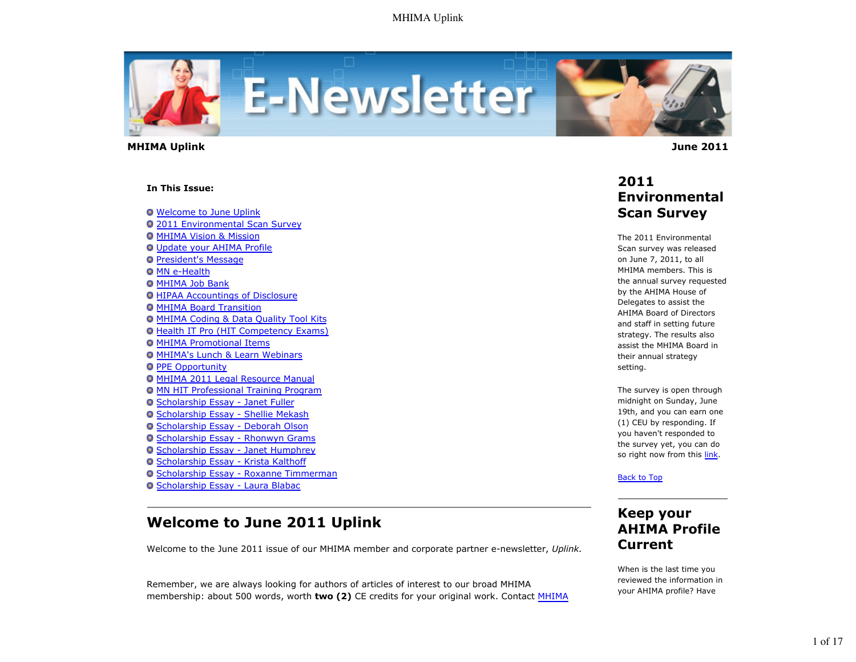

 **MHIMA Uplink June 2011** 

#### **In This Issue:**

**O** Welcome to June Uplink

- 2011 Environmental Scan Survey **O MHIMA Vision & Mission** Update your AHIMA Profile **President's Message O MN e-Health O MHIMA Job Bank O HIPAA Accountings of Disclosure**
- MHIMA Board Transition
- MHIMA Coding & Data Quality Tool Kits
- Health IT Pro (HIT Competency Exams)
- **O MHIMA Promotional Items**
- MHIMA's Lunch & Learn Webinars
- **O PPE Opportunity**
- **O MHIMA 2011 Legal Resource Manual**
- MN HIT Professional Training Program
- Scholarship Essay Janet Fuller
- Scholarship Essay Shellie Mekash
- O Scholarship Essay Deborah Olson
- Scholarship Essay Rhonwyn Grams
- Scholarship Essay Janet Humphrey
- Scholarship Essay Krista Kalthoff
- Scholarship Essay Roxanne Timmerman
- Scholarship Essay Laura Blabac

# **Welcome to June 2011 Uplink**

Welcome to the June 2011 issue of our MHIMA member and corporate partner e-newsletter, *Uplink.*

Remember, we are always looking for authors of articles of interest to our broad MHIMA membership: about 500 words, worth **two (2)** CE credits for your original work. Contact MHIMA

### **2011 Environmental Scan Survey**

The 2011 Environmental Scan survey was released on June 7, 2011, to all MHIMA members. This is the annual survey requested by the AHIMA House of Delegates to assist the AHIMA Board of Directors and staff in setting future strategy. The results also assist the MHIMA Board in their annual strategy setting.

The survey is open through midnight on Sunday, June 19th, and you can earn one (1) CEU by responding. If you haven't responded to the survey yet, you can do so right now from this link.

Back to Top

# **Keep your AHIMA Profile Current**

When is the last time you reviewed the information in your AHIMA profile? Have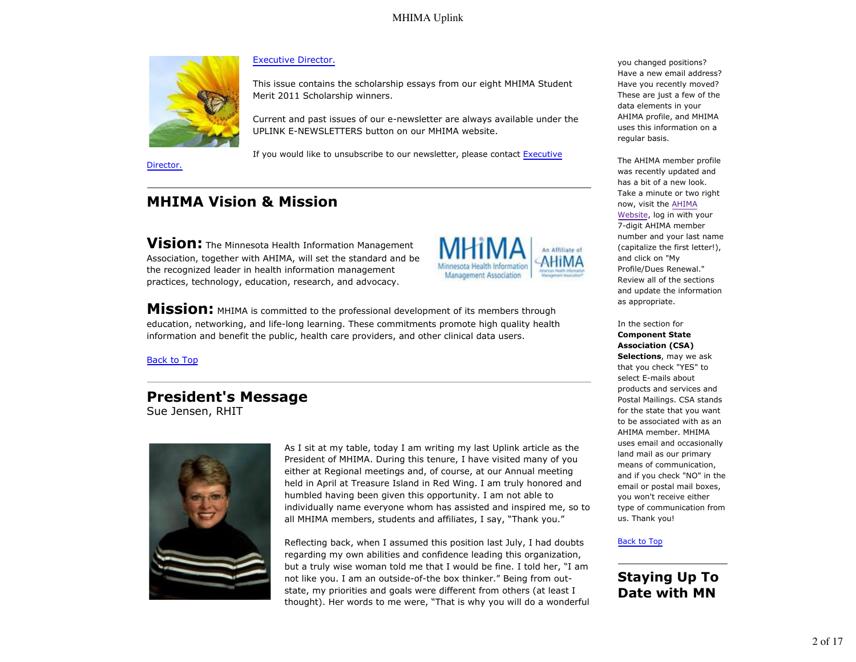

Director.

#### Executive Director.

This issue contains the scholarship essays from our eight MHIMA Student Merit 2011 Scholarship winners.

Current and past issues of our e-newsletter are always available under the UPLINK E-NEWSLETTERS button on our MHIMA website.

If you would like to unsubscribe to our newsletter, please contact Executive

# **MHIMA Vision & Mission**

**Vision:** The Minnesota Health Information Management Association, together with AHIMA, will set the standard and be the recognized leader in health information management practices, technology, education, research, and advocacy.



**Mission:** MHIMA is committed to the professional development of its members through education, networking, and life-long learning. These commitments promote high quality health information and benefit the public, health care providers, and other clinical data users.

#### Back to Top

### **President's Message** Sue Jensen, RHIT



As I sit at my table, today I am writing my last Uplink article as the President of MHIMA. During this tenure, I have visited many of you either at Regional meetings and, of course, at our Annual meeting held in April at Treasure Island in Red Wing. I am truly honored and humbled having been given this opportunity. I am not able to individually name everyone whom has assisted and inspired me, so to all MHIMA members, students and affiliates, I say, "Thank you."

Reflecting back, when I assumed this position last July, I had doubts regarding my own abilities and confidence leading this organization, but a truly wise woman told me that I would be fine. I told her, "I am not like you. I am an outside-of-the box thinker." Being from outstate, my priorities and goals were different from others (at least I thought). Her words to me were, "That is why you will do a wonderful you changed positions? Have a new email address? Have you recently moved? These are just a few of the data elements in your AHIMA profile, and MHIMA uses this information on a regular basis.

The AHIMA member profile was recently updated and has a bit of a new look. Take a minute or two right now, visit the AHIMA Website, log in with your 7-digit AHIMA member number and your last name (capitalize the first letter!), and click on "My Profile/Dues Renewal." Review all of the sections and update the information as appropriate.

In the section for **Component State Association (CSA) Selections**, may we ask that you check "YES" to select E-mails about products and services and Postal Mailings. CSA stands for the state that you want to be associated with as an AHIMA member. MHIMA uses email and occasionally land mail as our primary means of communication, and if you check "NO" in the email or postal mail boxes, you won't receive either type of communication from us. Thank you!

#### Back to Top

# **Staying Up To Date with MN**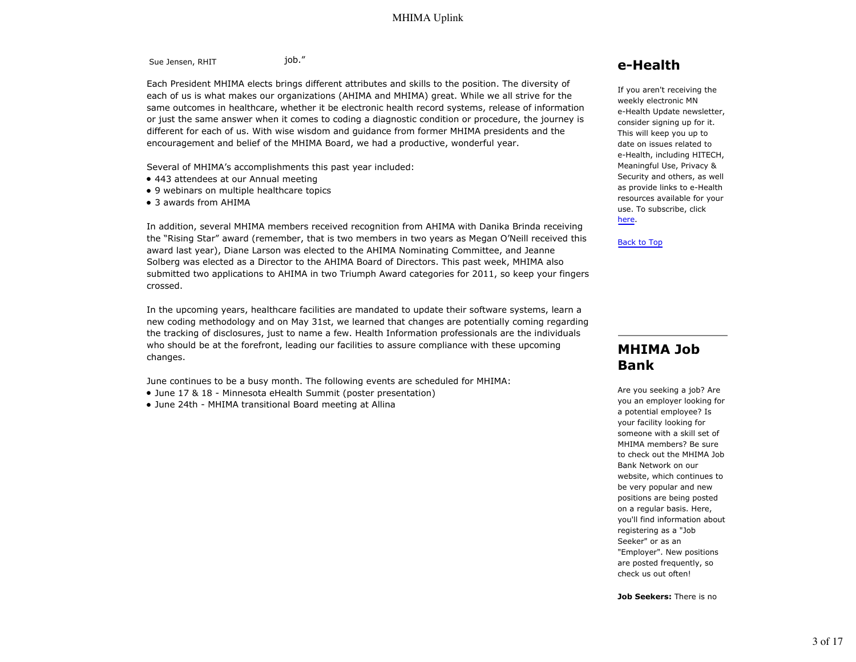Sue Jensen, RHIT job."

Each President MHIMA elects brings different attributes and skills to the position. The diversity of each of us is what makes our organizations (AHIMA and MHIMA) great. While we all strive for the same outcomes in healthcare, whether it be electronic health record systems, release of information or just the same answer when it comes to coding a diagnostic condition or procedure, the journey is different for each of us. With wise wisdom and guidance from former MHIMA presidents and the encouragement and belief of the MHIMA Board, we had a productive, wonderful year.

Several of MHIMA's accomplishments this past year included:

- 443 attendees at our Annual meeting
- 9 webinars on multiple healthcare topics
- 3 awards from AHIMA

In addition, several MHIMA members received recognition from AHIMA with Danika Brinda receiving the "Rising Star" award (remember, that is two members in two years as Megan O'Neill received this award last year), Diane Larson was elected to the AHIMA Nominating Committee, and Jeanne Solberg was elected as a Director to the AHIMA Board of Directors. This past week, MHIMA also submitted two applications to AHIMA in two Triumph Award categories for 2011, so keep your fingers crossed.

In the upcoming years, healthcare facilities are mandated to update their software systems, learn a new coding methodology and on May 31st, we learned that changes are potentially coming regarding the tracking of disclosures, just to name a few. Health Information professionals are the individuals who should be at the forefront, leading our facilities to assure compliance with these upcoming changes.

June continues to be a busy month. The following events are scheduled for MHIMA:

- June 17 & 18 Minnesota eHealth Summit (poster presentation)
- June 24th MHIMA transitional Board meeting at Allina

### **e-Health**

If you aren't receiving the weekly electronic MN e-Health Update newsletter, consider signing up for it. This will keep you up to date on issues related to e-Health, including HITECH, Meaningful Use, Privacy & Security and others, as well as provide links to e-Health resources available for your use. To subscribe, click here.

Back to Top

### **MHIMA Job Bank**

Are you seeking a job? Are you an employer looking for a potential employee? Is your facility looking for someone with a skill set of MHIMA members? Be sure to check out the MHIMA Job Bank Network on our website, which continues to be very popular and new positions are being posted on a regular basis. Here, you'll find information about registering as a "Job Seeker" or as an "Employer". New positions are posted frequently, so check us out often!

**Job Seekers:** There is no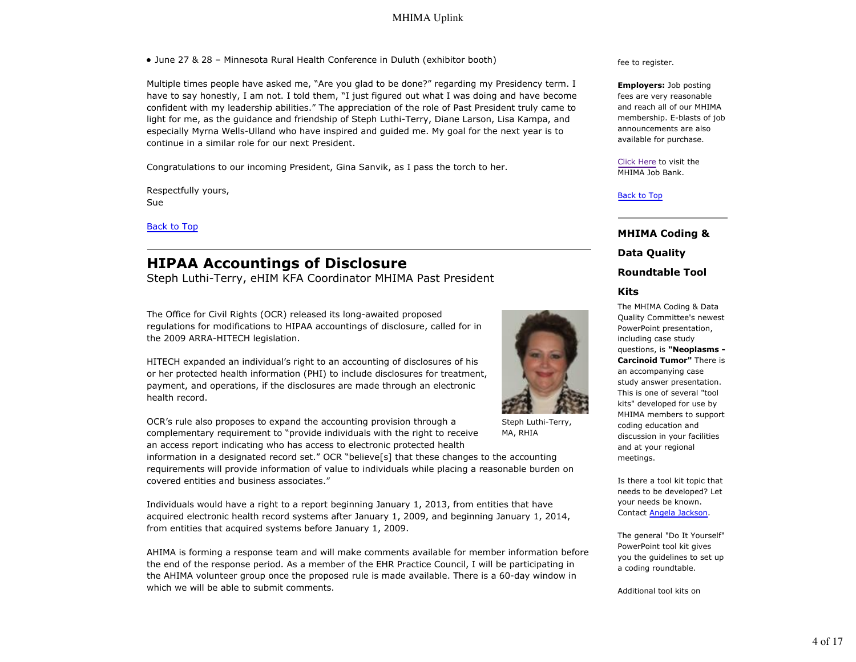June 27 & 28 – Minnesota Rural Health Conference in Duluth (exhibitor booth)

Multiple times people have asked me, "Are you glad to be done?" regarding my Presidency term. I have to say honestly, I am not. I told them, "I just figured out what I was doing and have become confident with my leadership abilities." The appreciation of the role of Past President truly came to light for me, as the guidance and friendship of Steph Luthi-Terry, Diane Larson, Lisa Kampa, and especially Myrna Wells-Ulland who have inspired and guided me. My goal for the next year is to continue in a similar role for our next President.

Congratulations to our incoming President, Gina Sanvik, as I pass the torch to her.

Respectfully yours, Sue

Back to Top

# **HIPAA Accountings of Disclosure**

Steph Luthi-Terry, eHIM KFA Coordinator MHIMA Past President

The Office for Civil Rights (OCR) released its long-awaited proposed regulations for modifications to HIPAA accountings of disclosure, called for in the 2009 ARRA-HITECH legislation.

HITECH expanded an individual's right to an accounting of disclosures of his or her protected health information (PHI) to include disclosures for treatment, payment, and operations, if the disclosures are made through an electronic health record.

OCR's rule also proposes to expand the accounting provision through a complementary requirement to "provide individuals with the right to receive an access report indicating who has access to electronic protected health

information in a designated record set." OCR "believe[s] that these changes to the accounting requirements will provide information of value to individuals while placing a reasonable burden on covered entities and business associates."

Individuals would have a right to a report beginning January 1, 2013, from entities that have acquired electronic health record systems after January 1, 2009, and beginning January 1, 2014, from entities that acquired systems before January 1, 2009.

AHIMA is forming a response team and will make comments available for member information before the end of the response period. As a member of the EHR Practice Council, I will be participating in the AHIMA volunteer group once the proposed rule is made available. There is a 60-day window in which we will be able to submit comments.

fee to register.

**Employers:** Job posting fees are very reasonable and reach all of our MHIMA membership. E-blasts of job announcements are also available for purchase.

Click Here to visit the MHIMA Job Bank.

Back to Top

**MHIMA Coding & Data Quality Roundtable Tool**

#### **Kits**

The MHIMA Coding & Data Quality Committee's newest PowerPoint presentation, including case study questions, is **"Neoplasms - Carcinoid Tumor"** There is an accompanying case study answer presentation. This is one of several "tool kits" developed for use by MHIMA members to support coding education and discussion in your facilities and at your regional meetings.

Is there a tool kit topic that needs to be developed? Let your needs be known. Contact Angela Jackson.

The general "Do It Yourself" PowerPoint tool kit gives you the guidelines to set up a coding roundtable.

Additional tool kits on



Steph Luthi-Terry, MA, RHIA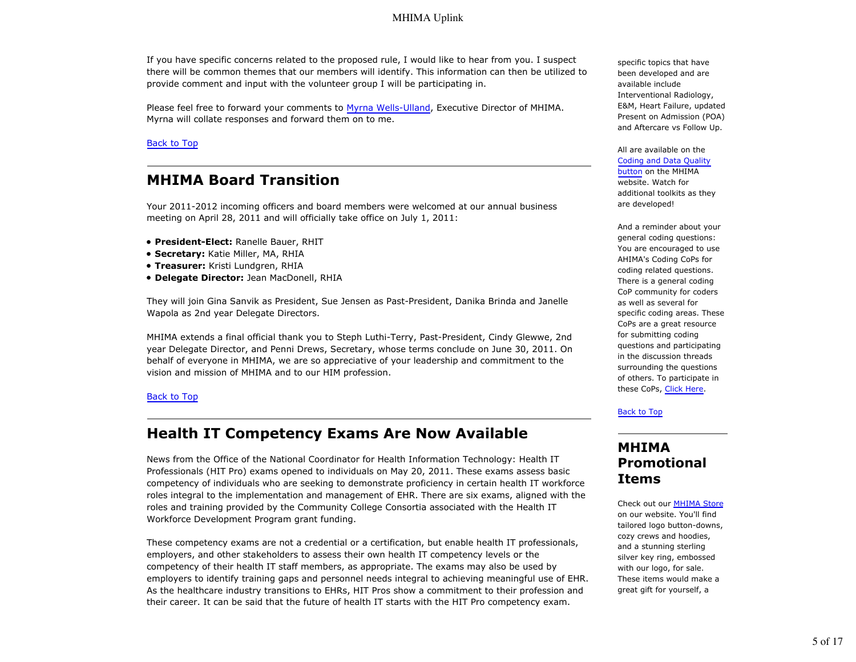If you have specific concerns related to the proposed rule, I would like to hear from you. I suspect there will be common themes that our members will identify. This information can then be utilized to provide comment and input with the volunteer group I will be participating in.

Please feel free to forward your comments to Myrna Wells-Ulland, Executive Director of MHIMA. Myrna will collate responses and forward them on to me.

#### Back to Top

# **MHIMA Board Transition**

Your 2011-2012 incoming officers and board members were welcomed at our annual business meeting on April 28, 2011 and will officially take office on July 1, 2011:

- **President-Elect:** Ranelle Bauer, RHIT
- **Secretary:** Katie Miller, MA, RHIA
- **Treasurer:** Kristi Lundgren, RHIA
- **Delegate Director:** Jean MacDonell, RHIA

They will join Gina Sanvik as President, Sue Jensen as Past-President, Danika Brinda and Janelle Wapola as 2nd year Delegate Directors.

MHIMA extends a final official thank you to Steph Luthi-Terry, Past-President, Cindy Glewwe, 2nd year Delegate Director, and Penni Drews, Secretary, whose terms conclude on June 30, 2011. On behalf of everyone in MHIMA, we are so appreciative of your leadership and commitment to the vision and mission of MHIMA and to our HIM profession.

#### Back to Top

### **Health IT Competency Exams Are Now Available**

News from the Office of the National Coordinator for Health Information Technology: Health IT Professionals (HIT Pro) exams opened to individuals on May 20, 2011. These exams assess basic competency of individuals who are seeking to demonstrate proficiency in certain health IT workforce roles integral to the implementation and management of EHR. There are six exams, aligned with the roles and training provided by the Community College Consortia associated with the Health IT Workforce Development Program grant funding.

These competency exams are not a credential or a certification, but enable health IT professionals, employers, and other stakeholders to assess their own health IT competency levels or the competency of their health IT staff members, as appropriate. The exams may also be used by employers to identify training gaps and personnel needs integral to achieving meaningful use of EHR. As the healthcare industry transitions to EHRs, HIT Pros show a commitment to their profession and their career. It can be said that the future of health IT starts with the HIT Pro competency exam.

specific topics that have been developed and are available include Interventional Radiology, E&M, Heart Failure, updated Present on Admission (POA) and Aftercare vs Follow Up.

All are available on the Coding and Data Quality

button on the MHIMA website. Watch for additional toolkits as they are developed!

And a reminder about your general coding questions: You are encouraged to use AHIMA's Coding CoPs for coding related questions. There is a general coding CoP community for coders as well as several for specific coding areas. These CoPs are a great resource for submitting coding questions and participating in the discussion threads surrounding the questions of others. To participate in these CoPs, Click Here.

#### Back to Top

### **MHIMA Promotional Items**

Check out our MHIMA Store on our website. You'll find tailored logo button-downs, cozy crews and hoodies, and a stunning sterling silver key ring, embossed with our logo, for sale. These items would make a great gift for yourself, a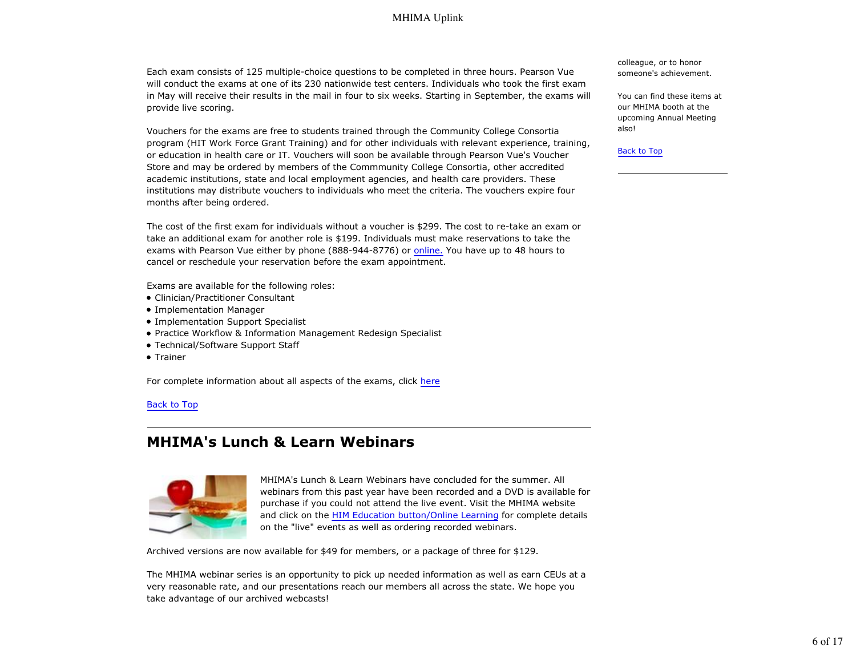Each exam consists of 125 multiple-choice questions to be completed in three hours. Pearson Vue will conduct the exams at one of its 230 nationwide test centers. Individuals who took the first exam in May will receive their results in the mail in four to six weeks. Starting in September, the exams will provide live scoring.

Vouchers for the exams are free to students trained through the Community College Consortia program (HIT Work Force Grant Training) and for other individuals with relevant experience, training, or education in health care or IT. Vouchers will soon be available through Pearson Vue's Voucher Store and may be ordered by members of the Commmunity College Consortia, other accredited academic institutions, state and local employment agencies, and health care providers. These institutions may distribute vouchers to individuals who meet the criteria. The vouchers expire four months after being ordered.

The cost of the first exam for individuals without a voucher is \$299. The cost to re-take an exam or take an additional exam for another role is \$199. Individuals must make reservations to take the exams with Pearson Vue either by phone (888-944-8776) or online. You have up to 48 hours to cancel or reschedule your reservation before the exam appointment.

Exams are available for the following roles:

- Clinician/Practitioner Consultant
- Implementation Manager
- Implementation Support Specialist
- Practice Workflow & Information Management Redesign Specialist
- Technical/Software Support Staff
- Trainer

For complete information about all aspects of the exams, click here

#### Back to Top

### **MHIMA's Lunch & Learn Webinars**



MHIMA's Lunch & Learn Webinars have concluded for the summer. All webinars from this past year have been recorded and a DVD is available for purchase if you could not attend the live event. Visit the MHIMA website and click on the HIM Education button/Online Learning for complete details on the "live" events as well as ordering recorded webinars.

Archived versions are now available for \$49 for members, or a package of three for \$129.

The MHIMA webinar series is an opportunity to pick up needed information as well as earn CEUs at a very reasonable rate, and our presentations reach our members all across the state. We hope you take advantage of our archived webcasts!

colleague, or to honor someone's achievement.

You can find these items at our MHIMA booth at the upcoming Annual Meeting also!

Back to Top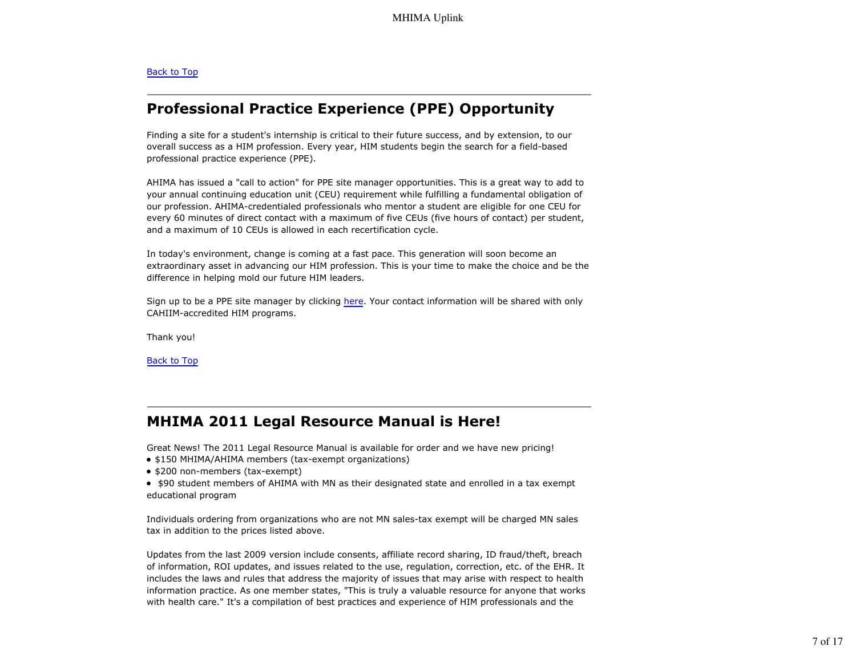#### Back to Top

# **Professional Practice Experience (PPE) Opportunity**

Finding a site for a student's internship is critical to their future success, and by extension, to our overall success as a HIM profession. Every year, HIM students begin the search for a field-based professional practice experience (PPE).

AHIMA has issued a "call to action" for PPE site manager opportunities. This is a great way to add to your annual continuing education unit (CEU) requirement while fulfilling a fundamental obligation of our profession. AHIMA-credentialed professionals who mentor a student are eligible for one CEU for every 60 minutes of direct contact with a maximum of five CEUs (five hours of contact) per student, and a maximum of 10 CEUs is allowed in each recertification cycle.

In today's environment, change is coming at a fast pace. This generation will soon become an extraordinary asset in advancing our HIM profession. This is your time to make the choice and be the difference in helping mold our future HIM leaders.

Sign up to be a PPE site manager by clicking here. Your contact information will be shared with only CAHIIM-accredited HIM programs.

Thank you!

Back to Top

### **MHIMA 2011 Legal Resource Manual is Here!**

Great News! The 2011 Legal Resource Manual is available for order and we have new pricing!

- \$150 MHIMA/AHIMA members (tax-exempt organizations)
- \$200 non-members (tax-exempt)
- \$90 student members of AHIMA with MN as their designated state and enrolled in a tax exempt educational program

Individuals ordering from organizations who are not MN sales-tax exempt will be charged MN sales tax in addition to the prices listed above.

Updates from the last 2009 version include consents, affiliate record sharing, ID fraud/theft, breach of information, ROI updates, and issues related to the use, regulation, correction, etc. of the EHR. It includes the laws and rules that address the majority of issues that may arise with respect to health information practice. As one member states, "This is truly a valuable resource for anyone that works with health care." It's a compilation of best practices and experience of HIM professionals and the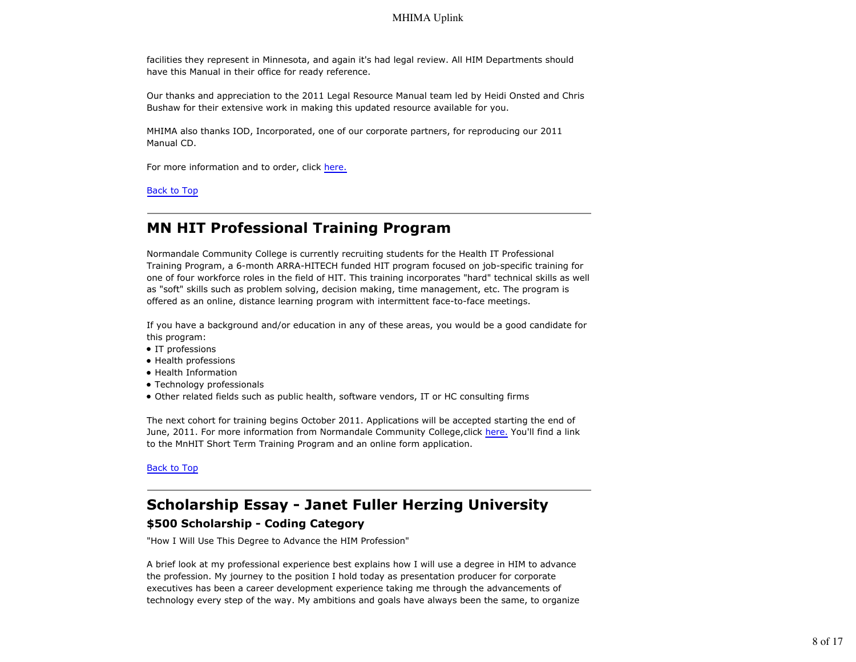facilities they represent in Minnesota, and again it's had legal review. All HIM Departments should have this Manual in their office for ready reference.

Our thanks and appreciation to the 2011 Legal Resource Manual team led by Heidi Onsted and Chris Bushaw for their extensive work in making this updated resource available for you.

MHIMA also thanks IOD, Incorporated, one of our corporate partners, for reproducing our 2011 Manual CD.

For more information and to order, click here.

Back to Top

# **MN HIT Professional Training Program**

Normandale Community College is currently recruiting students for the Health IT Professional Training Program, a 6-month ARRA-HITECH funded HIT program focused on job-specific training for one of four workforce roles in the field of HIT. This training incorporates "hard" technical skills as well as "soft" skills such as problem solving, decision making, time management, etc. The program is offered as an online, distance learning program with intermittent face-to-face meetings.

If you have a background and/or education in any of these areas, you would be a good candidate for this program:

- IT professions
- Health professions
- Health Information
- Technology professionals
- Other related fields such as public health, software vendors, IT or HC consulting firms

The next cohort for training begins October 2011. Applications will be accepted starting the end of June, 2011. For more information from Normandale Community College, click here. You'll find a link to the MnHIT Short Term Training Program and an online form application.

Back to Top

# **Scholarship Essay - Janet Fuller Herzing University**

### **\$500 Scholarship - Coding Category**

"How I Will Use This Degree to Advance the HIM Profession"

A brief look at my professional experience best explains how I will use a degree in HIM to advance the profession. My journey to the position I hold today as presentation producer for corporate executives has been a career development experience taking me through the advancements of technology every step of the way. My ambitions and goals have always been the same, to organize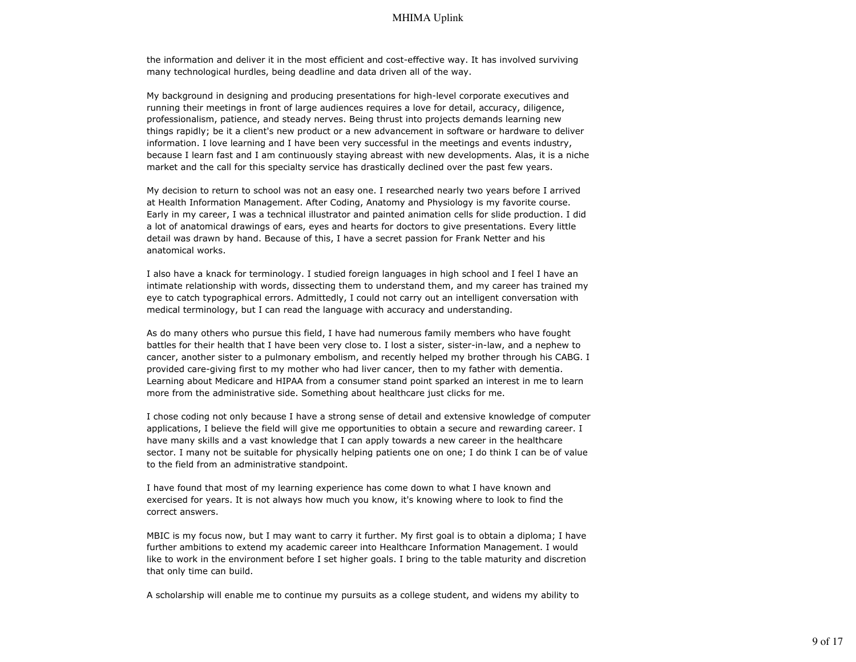the information and deliver it in the most efficient and cost-effective way. It has involved surviving many technological hurdles, being deadline and data driven all of the way.

My background in designing and producing presentations for high-level corporate executives and running their meetings in front of large audiences requires a love for detail, accuracy, diligence, professionalism, patience, and steady nerves. Being thrust into projects demands learning new things rapidly; be it a client's new product or a new advancement in software or hardware to deliver information. I love learning and I have been very successful in the meetings and events industry, because I learn fast and I am continuously staying abreast with new developments. Alas, it is a niche market and the call for this specialty service has drastically declined over the past few years.

My decision to return to school was not an easy one. I researched nearly two years before I arrived at Health Information Management. After Coding, Anatomy and Physiology is my favorite course. Early in my career, I was a technical illustrator and painted animation cells for slide production. I did a lot of anatomical drawings of ears, eyes and hearts for doctors to give presentations. Every little detail was drawn by hand. Because of this, I have a secret passion for Frank Netter and his anatomical works.

I also have a knack for terminology. I studied foreign languages in high school and I feel I have an intimate relationship with words, dissecting them to understand them, and my career has trained my eye to catch typographical errors. Admittedly, I could not carry out an intelligent conversation with medical terminology, but I can read the language with accuracy and understanding.

As do many others who pursue this field, I have had numerous family members who have fought battles for their health that I have been very close to. I lost a sister, sister-in-law, and a nephew to cancer, another sister to a pulmonary embolism, and recently helped my brother through his CABG. I provided care-giving first to my mother who had liver cancer, then to my father with dementia. Learning about Medicare and HIPAA from a consumer stand point sparked an interest in me to learn more from the administrative side. Something about healthcare just clicks for me.

I chose coding not only because I have a strong sense of detail and extensive knowledge of computer applications, I believe the field will give me opportunities to obtain a secure and rewarding career. I have many skills and a vast knowledge that I can apply towards a new career in the healthcare sector. I many not be suitable for physically helping patients one on one; I do think I can be of value to the field from an administrative standpoint.

I have found that most of my learning experience has come down to what I have known and exercised for years. It is not always how much you know, it's knowing where to look to find the correct answers.

MBIC is my focus now, but I may want to carry it further. My first goal is to obtain a diploma; I have further ambitions to extend my academic career into Healthcare Information Management. I would like to work in the environment before I set higher goals. I bring to the table maturity and discretion that only time can build.

A scholarship will enable me to continue my pursuits as a college student, and widens my ability to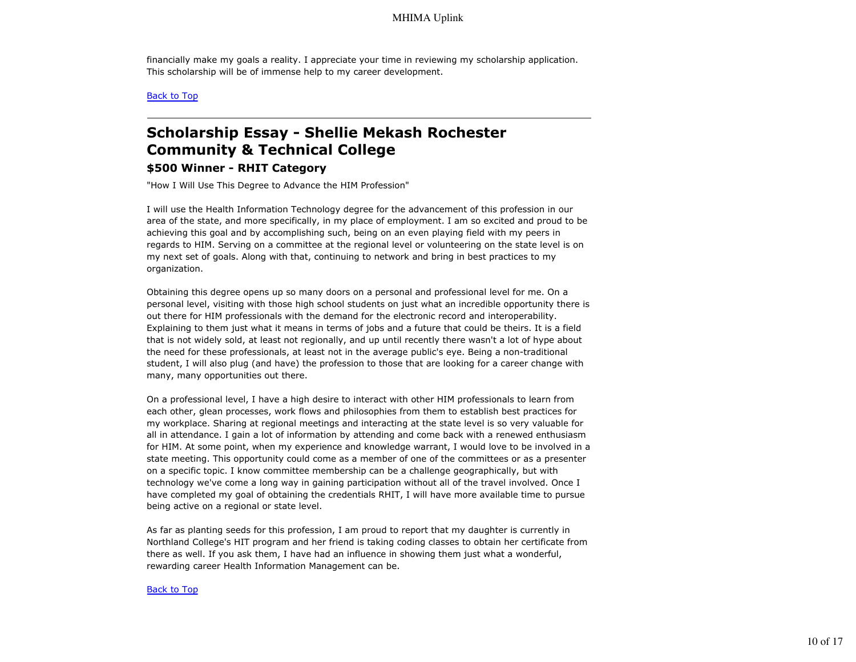financially make my goals a reality. I appreciate your time in reviewing my scholarship application. This scholarship will be of immense help to my career development.

Back to Top

# **Scholarship Essay - Shellie Mekash Rochester Community & Technical College**

### **\$500 Winner - RHIT Category**

"How I Will Use This Degree to Advance the HIM Profession"

I will use the Health Information Technology degree for the advancement of this profession in our area of the state, and more specifically, in my place of employment. I am so excited and proud to be achieving this goal and by accomplishing such, being on an even playing field with my peers in regards to HIM. Serving on a committee at the regional level or volunteering on the state level is on my next set of goals. Along with that, continuing to network and bring in best practices to my organization.

Obtaining this degree opens up so many doors on a personal and professional level for me. On a personal level, visiting with those high school students on just what an incredible opportunity there is out there for HIM professionals with the demand for the electronic record and interoperability. Explaining to them just what it means in terms of jobs and a future that could be theirs. It is a field that is not widely sold, at least not regionally, and up until recently there wasn't a lot of hype about the need for these professionals, at least not in the average public's eye. Being a non-traditional student, I will also plug (and have) the profession to those that are looking for a career change with many, many opportunities out there.

On a professional level, I have a high desire to interact with other HIM professionals to learn from each other, glean processes, work flows and philosophies from them to establish best practices for my workplace. Sharing at regional meetings and interacting at the state level is so very valuable for all in attendance. I gain a lot of information by attending and come back with a renewed enthusiasm for HIM. At some point, when my experience and knowledge warrant, I would love to be involved in a state meeting. This opportunity could come as a member of one of the committees or as a presenter on a specific topic. I know committee membership can be a challenge geographically, but with technology we've come a long way in gaining participation without all of the travel involved. Once I have completed my goal of obtaining the credentials RHIT, I will have more available time to pursue being active on a regional or state level.

As far as planting seeds for this profession, I am proud to report that my daughter is currently in Northland College's HIT program and her friend is taking coding classes to obtain her certificate from there as well. If you ask them, I have had an influence in showing them just what a wonderful, rewarding career Health Information Management can be.

#### Back to Top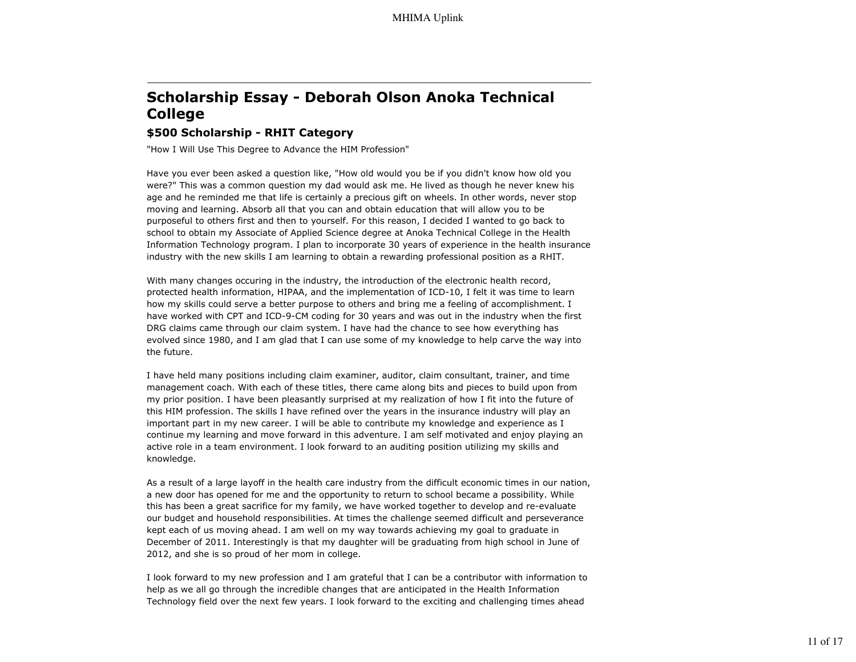# **Scholarship Essay - Deborah Olson Anoka Technical College**

### **\$500 Scholarship - RHIT Category**

"How I Will Use This Degree to Advance the HIM Profession"

Have you ever been asked a question like, "How old would you be if you didn't know how old you were?" This was a common question my dad would ask me. He lived as though he never knew his age and he reminded me that life is certainly a precious gift on wheels. In other words, never stop moving and learning. Absorb all that you can and obtain education that will allow you to be purposeful to others first and then to yourself. For this reason, I decided I wanted to go back to school to obtain my Associate of Applied Science degree at Anoka Technical College in the Health Information Technology program. I plan to incorporate 30 years of experience in the health insurance industry with the new skills I am learning to obtain a rewarding professional position as a RHIT.

With many changes occuring in the industry, the introduction of the electronic health record, protected health information, HIPAA, and the implementation of ICD-10, I felt it was time to learn how my skills could serve a better purpose to others and bring me a feeling of accomplishment. I have worked with CPT and ICD-9-CM coding for 30 years and was out in the industry when the first DRG claims came through our claim system. I have had the chance to see how everything has evolved since 1980, and I am glad that I can use some of my knowledge to help carve the way into the future.

I have held many positions including claim examiner, auditor, claim consultant, trainer, and time management coach. With each of these titles, there came along bits and pieces to build upon from my prior position. I have been pleasantly surprised at my realization of how I fit into the future of this HIM profession. The skills I have refined over the years in the insurance industry will play an important part in my new career. I will be able to contribute my knowledge and experience as I continue my learning and move forward in this adventure. I am self motivated and enjoy playing an active role in a team environment. I look forward to an auditing position utilizing my skills and knowledge.

As a result of a large layoff in the health care industry from the difficult economic times in our nation, a new door has opened for me and the opportunity to return to school became a possibility. While this has been a great sacrifice for my family, we have worked together to develop and re-evaluate our budget and household responsibilities. At times the challenge seemed difficult and perseverance kept each of us moving ahead. I am well on my way towards achieving my goal to graduate in December of 2011. Interestingly is that my daughter will be graduating from high school in June of 2012, and she is so proud of her mom in college.

I look forward to my new profession and I am grateful that I can be a contributor with information to help as we all go through the incredible changes that are anticipated in the Health Information Technology field over the next few years. I look forward to the exciting and challenging times ahead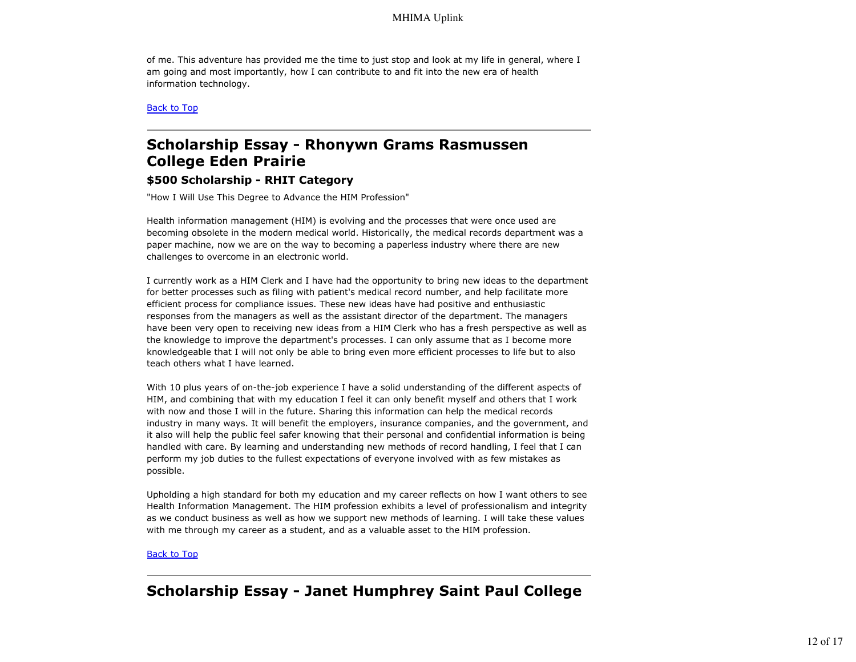of me. This adventure has provided me the time to just stop and look at my life in general, where I am going and most importantly, how I can contribute to and fit into the new era of health information technology.

Back to Top

# **Scholarship Essay - Rhonywn Grams Rasmussen College Eden Prairie**

### **\$500 Scholarship - RHIT Category**

"How I Will Use This Degree to Advance the HIM Profession"

Health information management (HIM) is evolving and the processes that were once used are becoming obsolete in the modern medical world. Historically, the medical records department was a paper machine, now we are on the way to becoming a paperless industry where there are new challenges to overcome in an electronic world.

I currently work as a HIM Clerk and I have had the opportunity to bring new ideas to the department for better processes such as filing with patient's medical record number, and help facilitate more efficient process for compliance issues. These new ideas have had positive and enthusiastic responses from the managers as well as the assistant director of the department. The managers have been very open to receiving new ideas from a HIM Clerk who has a fresh perspective as well as the knowledge to improve the department's processes. I can only assume that as I become more knowledgeable that I will not only be able to bring even more efficient processes to life but to also teach others what I have learned.

With 10 plus years of on-the-job experience I have a solid understanding of the different aspects of HIM, and combining that with my education I feel it can only benefit myself and others that I work with now and those I will in the future. Sharing this information can help the medical records industry in many ways. It will benefit the employers, insurance companies, and the government, and it also will help the public feel safer knowing that their personal and confidential information is being handled with care. By learning and understanding new methods of record handling, I feel that I can perform my job duties to the fullest expectations of everyone involved with as few mistakes as possible.

Upholding a high standard for both my education and my career reflects on how I want others to see Health Information Management. The HIM profession exhibits a level of professionalism and integrity as we conduct business as well as how we support new methods of learning. I will take these values with me through my career as a student, and as a valuable asset to the HIM profession.

#### Back to Top

# **Scholarship Essay - Janet Humphrey Saint Paul College**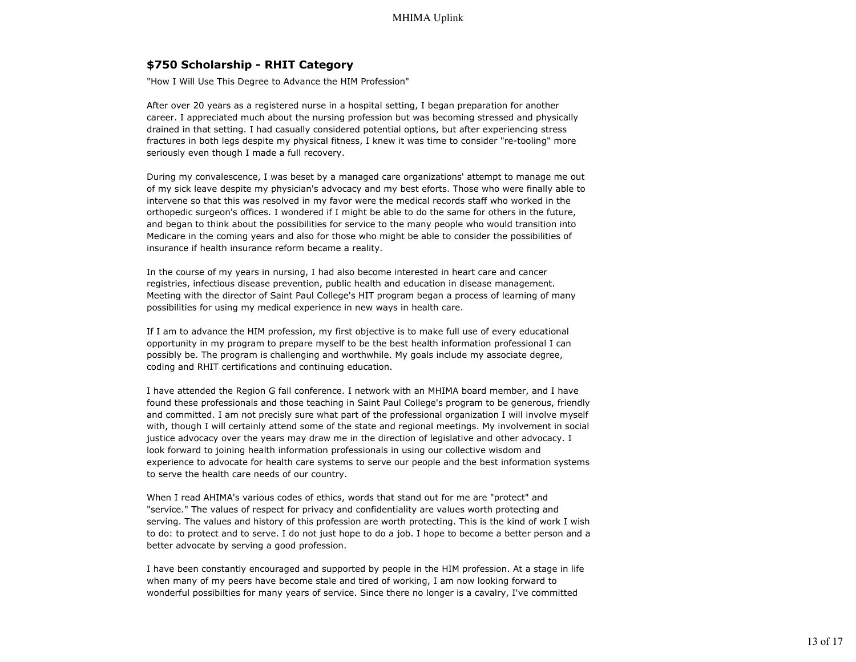### **\$750 Scholarship - RHIT Category**

"How I Will Use This Degree to Advance the HIM Profession"

After over 20 years as a registered nurse in a hospital setting, I began preparation for another career. I appreciated much about the nursing profession but was becoming stressed and physically drained in that setting. I had casually considered potential options, but after experiencing stress fractures in both legs despite my physical fitness, I knew it was time to consider "re-tooling" more seriously even though I made a full recovery.

During my convalescence, I was beset by a managed care organizations' attempt to manage me out of my sick leave despite my physician's advocacy and my best eforts. Those who were finally able to intervene so that this was resolved in my favor were the medical records staff who worked in the orthopedic surgeon's offices. I wondered if I might be able to do the same for others in the future, and began to think about the possibilities for service to the many people who would transition into Medicare in the coming years and also for those who might be able to consider the possibilities of insurance if health insurance reform became a reality.

In the course of my years in nursing, I had also become interested in heart care and cancer registries, infectious disease prevention, public health and education in disease management. Meeting with the director of Saint Paul College's HIT program began a process of learning of many possibilities for using my medical experience in new ways in health care.

If I am to advance the HIM profession, my first objective is to make full use of every educational opportunity in my program to prepare myself to be the best health information professional I can possibly be. The program is challenging and worthwhile. My goals include my associate degree, coding and RHIT certifications and continuing education.

I have attended the Region G fall conference. I network with an MHIMA board member, and I have found these professionals and those teaching in Saint Paul College's program to be generous, friendly and committed. I am not precisly sure what part of the professional organization I will involve myself with, though I will certainly attend some of the state and regional meetings. My involvement in social justice advocacy over the years may draw me in the direction of legislative and other advocacy. I look forward to joining health information professionals in using our collective wisdom and experience to advocate for health care systems to serve our people and the best information systems to serve the health care needs of our country.

When I read AHIMA's various codes of ethics, words that stand out for me are "protect" and "service." The values of respect for privacy and confidentiality are values worth protecting and serving. The values and history of this profession are worth protecting. This is the kind of work I wish to do: to protect and to serve. I do not just hope to do a job. I hope to become a better person and a better advocate by serving a good profession.

I have been constantly encouraged and supported by people in the HIM profession. At a stage in life when many of my peers have become stale and tired of working, I am now looking forward to wonderful possibilties for many years of service. Since there no longer is a cavalry, I've committed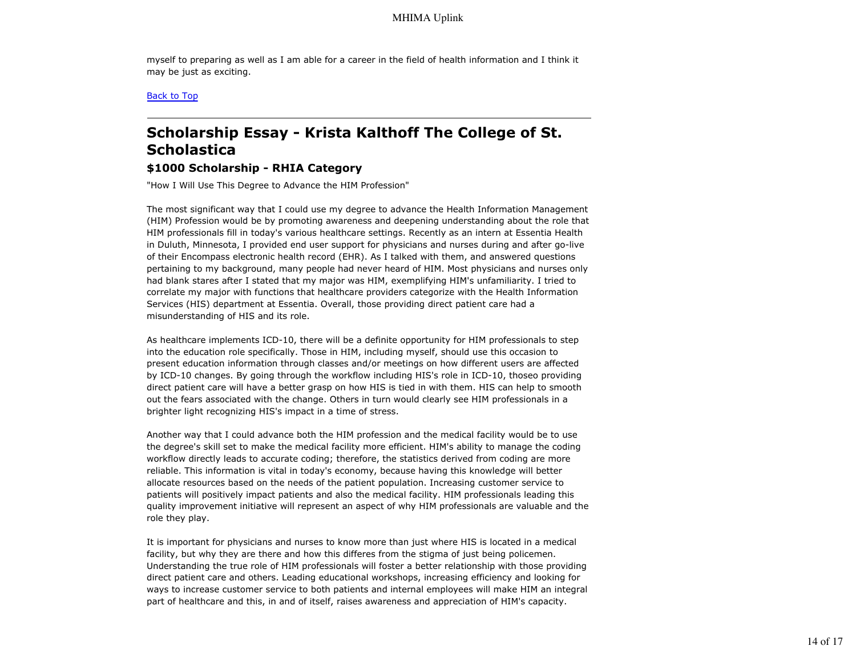myself to preparing as well as I am able for a career in the field of health information and I think it may be just as exciting.

Back to Top

# **Scholarship Essay - Krista Kalthoff The College of St. Scholastica**

### **\$1000 Scholarship - RHIA Category**

"How I Will Use This Degree to Advance the HIM Profession"

The most significant way that I could use my degree to advance the Health Information Management (HIM) Profession would be by promoting awareness and deepening understanding about the role that HIM professionals fill in today's various healthcare settings. Recently as an intern at Essentia Health in Duluth, Minnesota, I provided end user support for physicians and nurses during and after go-live of their Encompass electronic health record (EHR). As I talked with them, and answered questions pertaining to my background, many people had never heard of HIM. Most physicians and nurses only had blank stares after I stated that my major was HIM, exemplifying HIM's unfamiliarity. I tried to correlate my major with functions that healthcare providers categorize with the Health Information Services (HIS) department at Essentia. Overall, those providing direct patient care had a misunderstanding of HIS and its role.

As healthcare implements ICD-10, there will be a definite opportunity for HIM professionals to step into the education role specifically. Those in HIM, including myself, should use this occasion to present education information through classes and/or meetings on how different users are affected by ICD-10 changes. By going through the workflow including HIS's role in ICD-10, thoseo providing direct patient care will have a better grasp on how HIS is tied in with them. HIS can help to smooth out the fears associated with the change. Others in turn would clearly see HIM professionals in a brighter light recognizing HIS's impact in a time of stress.

Another way that I could advance both the HIM profession and the medical facility would be to use the degree's skill set to make the medical facility more efficient. HIM's ability to manage the coding workflow directly leads to accurate coding; therefore, the statistics derived from coding are more reliable. This information is vital in today's economy, because having this knowledge will better allocate resources based on the needs of the patient population. Increasing customer service to patients will positively impact patients and also the medical facility. HIM professionals leading this quality improvement initiative will represent an aspect of why HIM professionals are valuable and the role they play.

It is important for physicians and nurses to know more than just where HIS is located in a medical facility, but why they are there and how this differes from the stigma of just being policemen. Understanding the true role of HIM professionals will foster a better relationship with those providing direct patient care and others. Leading educational workshops, increasing efficiency and looking for ways to increase customer service to both patients and internal employees will make HIM an integral part of healthcare and this, in and of itself, raises awareness and appreciation of HIM's capacity.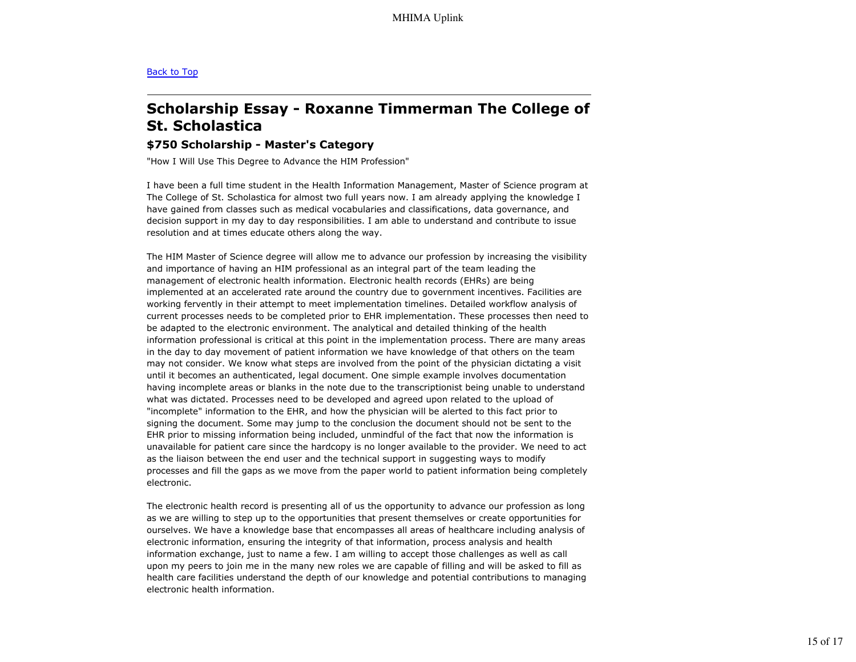#### Back to Top

# **Scholarship Essay - Roxanne Timmerman The College of St. Scholastica**

### **\$750 Scholarship - Master's Category**

"How I Will Use This Degree to Advance the HIM Profession"

I have been a full time student in the Health Information Management, Master of Science program at The College of St. Scholastica for almost two full years now. I am already applying the knowledge I have gained from classes such as medical vocabularies and classifications, data governance, and decision support in my day to day responsibilities. I am able to understand and contribute to issue resolution and at times educate others along the way.

The HIM Master of Science degree will allow me to advance our profession by increasing the visibility and importance of having an HIM professional as an integral part of the team leading the management of electronic health information. Electronic health records (EHRs) are being implemented at an accelerated rate around the country due to government incentives. Facilities are working fervently in their attempt to meet implementation timelines. Detailed workflow analysis of current processes needs to be completed prior to EHR implementation. These processes then need to be adapted to the electronic environment. The analytical and detailed thinking of the health information professional is critical at this point in the implementation process. There are many areas in the day to day movement of patient information we have knowledge of that others on the team may not consider. We know what steps are involved from the point of the physician dictating a visit until it becomes an authenticated, legal document. One simple example involves documentation having incomplete areas or blanks in the note due to the transcriptionist being unable to understand what was dictated. Processes need to be developed and agreed upon related to the upload of "incomplete" information to the EHR, and how the physician will be alerted to this fact prior to signing the document. Some may jump to the conclusion the document should not be sent to the EHR prior to missing information being included, unmindful of the fact that now the information is unavailable for patient care since the hardcopy is no longer available to the provider. We need to act as the liaison between the end user and the technical support in suggesting ways to modify processes and fill the gaps as we move from the paper world to patient information being completely electronic.

The electronic health record is presenting all of us the opportunity to advance our profession as long as we are willing to step up to the opportunities that present themselves or create opportunities for ourselves. We have a knowledge base that encompasses all areas of healthcare including analysis of electronic information, ensuring the integrity of that information, process analysis and health information exchange, just to name a few. I am willing to accept those challenges as well as call upon my peers to join me in the many new roles we are capable of filling and will be asked to fill as health care facilities understand the depth of our knowledge and potential contributions to managing electronic health information.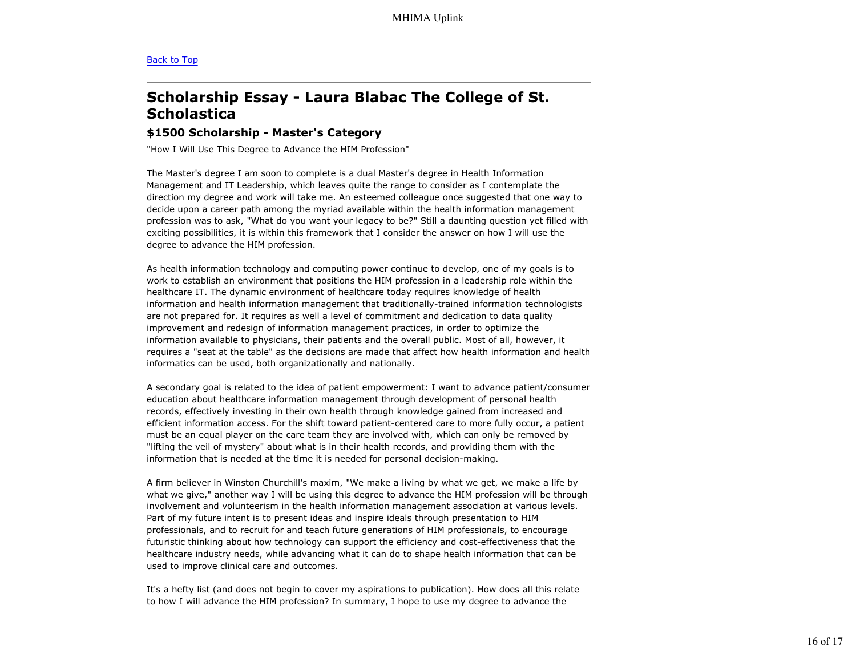#### Back to Top

# **Scholarship Essay - Laura Blabac The College of St. Scholastica**

#### **\$1500 Scholarship - Master's Category**

"How I Will Use This Degree to Advance the HIM Profession"

The Master's degree I am soon to complete is a dual Master's degree in Health Information Management and IT Leadership, which leaves quite the range to consider as I contemplate the direction my degree and work will take me. An esteemed colleague once suggested that one way to decide upon a career path among the myriad available within the health information management profession was to ask, "What do you want your legacy to be?" Still a daunting question yet filled with exciting possibilities, it is within this framework that I consider the answer on how I will use the degree to advance the HIM profession.

As health information technology and computing power continue to develop, one of my goals is to work to establish an environment that positions the HIM profession in a leadership role within the healthcare IT. The dynamic environment of healthcare today requires knowledge of health information and health information management that traditionally-trained information technologists are not prepared for. It requires as well a level of commitment and dedication to data quality improvement and redesign of information management practices, in order to optimize the information available to physicians, their patients and the overall public. Most of all, however, it requires a "seat at the table" as the decisions are made that affect how health information and health informatics can be used, both organizationally and nationally.

A secondary goal is related to the idea of patient empowerment: I want to advance patient/consumer education about healthcare information management through development of personal health records, effectively investing in their own health through knowledge gained from increased and efficient information access. For the shift toward patient-centered care to more fully occur, a patient must be an equal player on the care team they are involved with, which can only be removed by "lifting the veil of mystery" about what is in their health records, and providing them with the information that is needed at the time it is needed for personal decision-making.

A firm believer in Winston Churchill's maxim, "We make a living by what we get, we make a life by what we give," another way I will be using this degree to advance the HIM profession will be through involvement and volunteerism in the health information management association at various levels. Part of my future intent is to present ideas and inspire ideals through presentation to HIM professionals, and to recruit for and teach future generations of HIM professionals, to encourage futuristic thinking about how technology can support the efficiency and cost-effectiveness that the healthcare industry needs, while advancing what it can do to shape health information that can be used to improve clinical care and outcomes.

It's a hefty list (and does not begin to cover my aspirations to publication). How does all this relate to how I will advance the HIM profession? In summary, I hope to use my degree to advance the